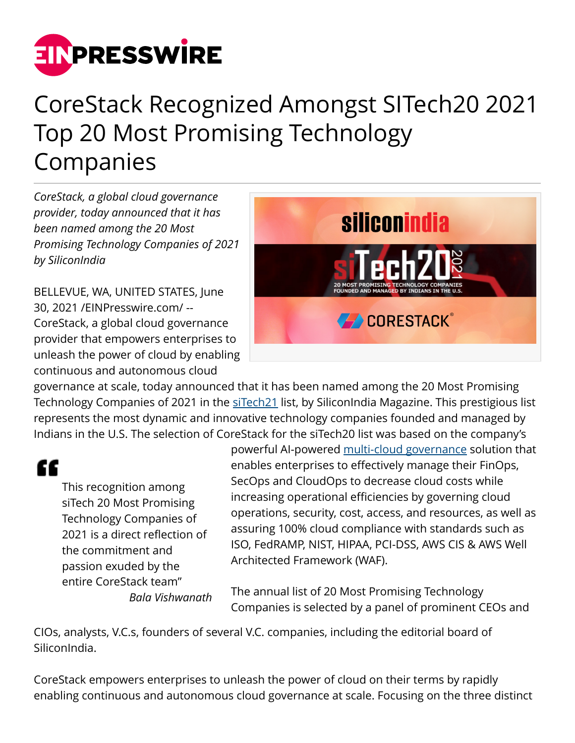

## CoreStack Recognized Amongst SITech20 2021 Top 20 Most Promising Technology Companies

*CoreStack, a global cloud governance provider, today announced that it has been named among the 20 Most Promising Technology Companies of 2021 by SiliconIndia*

BELLEVUE, WA, UNITED STATES, June 30, 2021 /[EINPresswire.com/](http://www.einpresswire.com) -- CoreStack, a global cloud governance provider that empowers enterprises to unleash the power of cloud by enabling continuous and autonomous cloud



governance at scale, today announced that it has been named among the 20 Most Promising Technology Companies of 2021 in the [siTech21](https://www.siliconindia.com/ranking/us/20-most-promising-technology-companies-founded-and-managed-by-indians-in-the-us-2021-rid-231.html) list, by SiliconIndia Magazine. This prestigious list represents the most dynamic and innovative technology companies founded and managed by Indians in the U.S. The selection of CoreStack for the siTech20 list was based on the company's

"

This recognition among siTech 20 Most Promising Technology Companies of 2021 is a direct reflection of the commitment and passion exuded by the entire CoreStack team" *Bala Vishwanath*

powerful AI-powered [multi-cloud governance](https://go.corestack.io/governance) solution that enables enterprises to effectively manage their FinOps, SecOps and CloudOps to decrease cloud costs while increasing operational efficiencies by governing cloud operations, security, cost, access, and resources, as well as assuring 100% cloud compliance with standards such as ISO, FedRAMP, NIST, HIPAA, PCI-DSS, AWS CIS & AWS Well Architected Framework (WAF).

The annual list of 20 Most Promising Technology Companies is selected by a panel of prominent CEOs and

CIOs, analysts, V.C.s, founders of several V.C. companies, including the editorial board of SiliconIndia.

CoreStack empowers enterprises to unleash the power of cloud on their terms by rapidly enabling continuous and autonomous cloud governance at scale. Focusing on the three distinct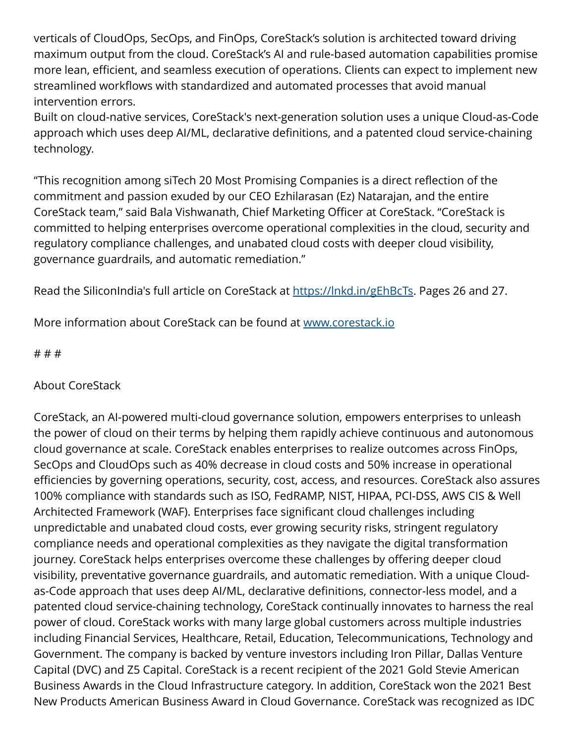verticals of CloudOps, SecOps, and FinOps, CoreStack's solution is architected toward driving maximum output from the cloud. CoreStack's AI and rule-based automation capabilities promise more lean, efficient, and seamless execution of operations. Clients can expect to implement new streamlined workflows with standardized and automated processes that avoid manual intervention errors.

Built on cloud-native services, CoreStack's next-generation solution uses a unique Cloud-as-Code approach which uses deep AI/ML, declarative definitions, and a patented cloud service-chaining technology.

"This recognition among siTech 20 Most Promising Companies is a direct reflection of the commitment and passion exuded by our CEO Ezhilarasan (Ez) Natarajan, and the entire CoreStack team," said Bala Vishwanath, Chief Marketing Officer at CoreStack. "CoreStack is committed to helping enterprises overcome operational complexities in the cloud, security and regulatory compliance challenges, and unabated cloud costs with deeper cloud visibility, governance guardrails, and automatic remediation."

Read the SiliconIndia's full article on CoreStack at <https://lnkd.in/gEhBcTs>. Pages 26 and 27.

More information about CoreStack can be found at [www.corestack.io](http://www.corestack.io)

# # #

## About CoreStack

CoreStack, an AI-powered multi-cloud governance solution, empowers enterprises to unleash the power of cloud on their terms by helping them rapidly achieve continuous and autonomous cloud governance at scale. CoreStack enables enterprises to realize outcomes across FinOps, SecOps and CloudOps such as 40% decrease in cloud costs and 50% increase in operational efficiencies by governing operations, security, cost, access, and resources. CoreStack also assures 100% compliance with standards such as ISO, FedRAMP, NIST, HIPAA, PCI-DSS, AWS CIS & Well Architected Framework (WAF). Enterprises face significant cloud challenges including unpredictable and unabated cloud costs, ever growing security risks, stringent regulatory compliance needs and operational complexities as they navigate the digital transformation journey. CoreStack helps enterprises overcome these challenges by offering deeper cloud visibility, preventative governance guardrails, and automatic remediation. With a unique Cloudas-Code approach that uses deep AI/ML, declarative definitions, connector-less model, and a patented cloud service-chaining technology, CoreStack continually innovates to harness the real power of cloud. CoreStack works with many large global customers across multiple industries including Financial Services, Healthcare, Retail, Education, Telecommunications, Technology and Government. The company is backed by venture investors including Iron Pillar, Dallas Venture Capital (DVC) and Z5 Capital. CoreStack is a recent recipient of the 2021 Gold Stevie American Business Awards in the Cloud Infrastructure category. In addition, CoreStack won the 2021 Best New Products American Business Award in Cloud Governance. CoreStack was recognized as IDC